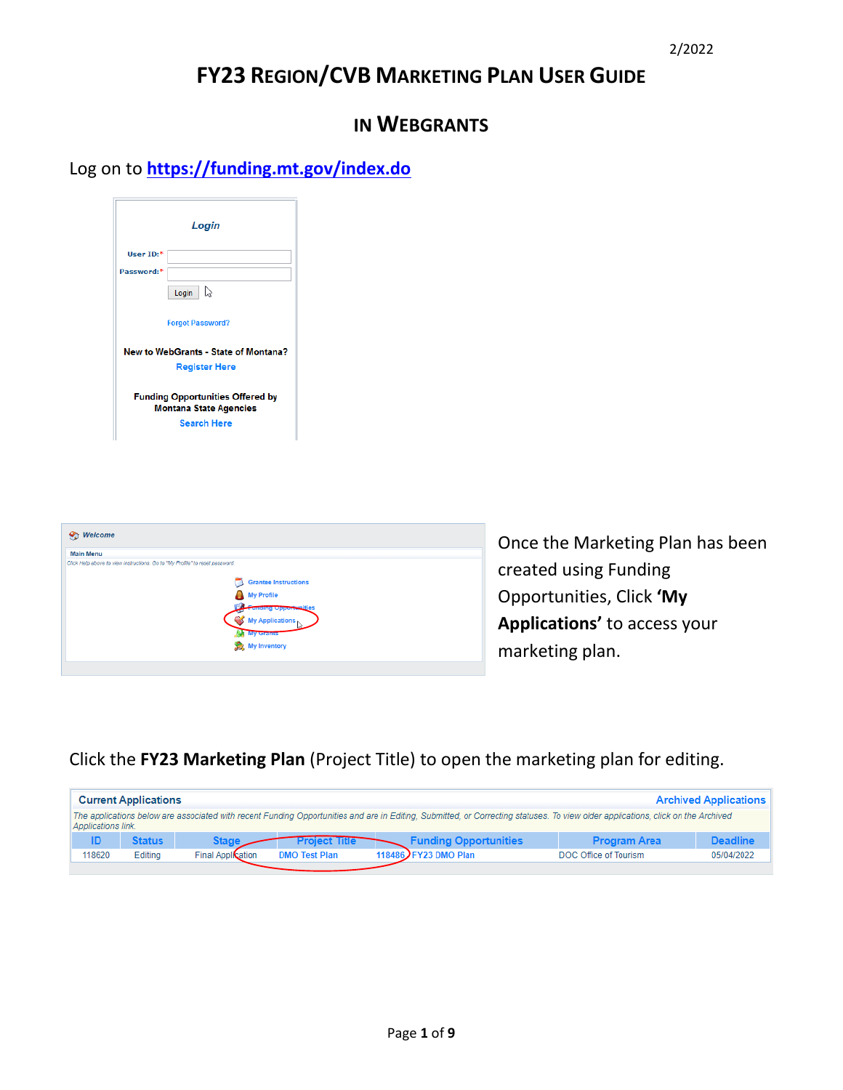# **FY23 REGION/CVB MARKETING PLAN USER GUIDE**

# **IN WEBGRANTS**

Log on to **<https://funding.mt.gov/index.do>**

| Login                                                                    |                         |  |
|--------------------------------------------------------------------------|-------------------------|--|
| User $ID:$ *                                                             |                         |  |
| Password:*                                                               |                         |  |
|                                                                          | ☆<br>Login              |  |
|                                                                          | <b>Forgot Password?</b> |  |
| New to WebGrants - State of Montana?                                     |                         |  |
| <b>Register Here</b>                                                     |                         |  |
| <b>Funding Opportunities Offered by</b><br><b>Montana State Agencies</b> |                         |  |
|                                                                          | <b>Search Here</b>      |  |



Once the Marketing Plan has been created using Funding Opportunities, Click **'My Applications'** to access your marketing plan.

Click the **FY23 Marketing Plan** (Project Title) to open the marketing plan for editing.

| <b>Current Applications</b><br><b>Archived Applications</b>                                                                                                                                            |               |                          |                      |                              |                       |                 |
|--------------------------------------------------------------------------------------------------------------------------------------------------------------------------------------------------------|---------------|--------------------------|----------------------|------------------------------|-----------------------|-----------------|
| The applications below are associated with recent Funding Opportunities and are in Editing, Submitted, or Correcting statuses. To view older applications, click on the Archived<br>Applications link. |               |                          |                      |                              |                       |                 |
|                                                                                                                                                                                                        | <b>Status</b> | Stage                    | <b>Project Title</b> | <b>Funding Opportunities</b> | <b>Program Area</b>   | <b>Deadline</b> |
| 118620                                                                                                                                                                                                 | Editing       | <b>Final Application</b> | <b>DMO Test Plan</b> | 118486 JFY23 DMO Plan        | DOC Office of Tourism | 05/04/2022      |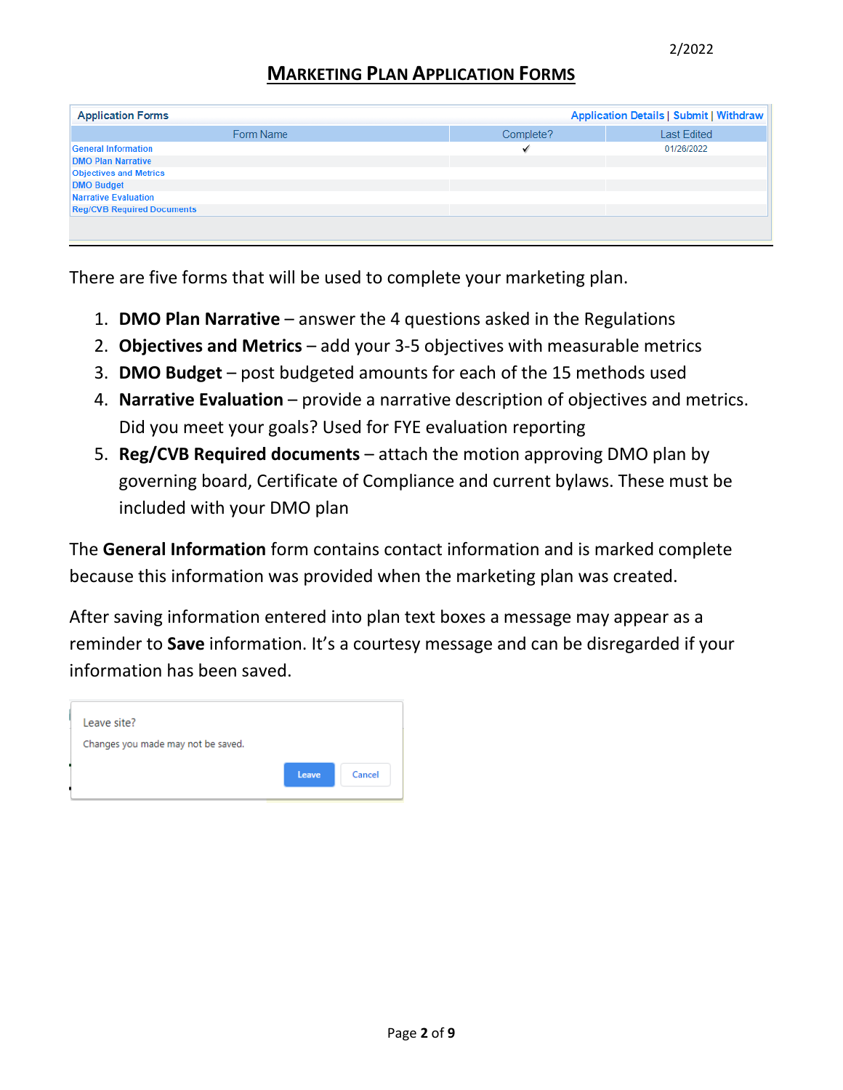### **MARKETING PLAN APPLICATION FORMS**

| <b>Application Forms</b>          | <b>Application Details   Submit   Withdraw</b> |                    |
|-----------------------------------|------------------------------------------------|--------------------|
| Form Name                         | Complete?                                      | <b>Last Edited</b> |
| <b>General Information</b>        |                                                | 01/26/2022         |
| <b>DMO Plan Narrative</b>         |                                                |                    |
| <b>Objectives and Metrics</b>     |                                                |                    |
| <b>DMO Budget</b>                 |                                                |                    |
| Narrative Evaluation              |                                                |                    |
| <b>Reg/CVB Required Documents</b> |                                                |                    |
|                                   |                                                |                    |
|                                   |                                                |                    |

There are five forms that will be used to complete your marketing plan.

- 1. **DMO Plan Narrative**  answer the 4 questions asked in the Regulations
- 2. **Objectives and Metrics** add your 3-5 objectives with measurable metrics
- 3. **DMO Budget** post budgeted amounts for each of the 15 methods used
- 4. **Narrative Evaluation**  provide a narrative description of objectives and metrics. Did you meet your goals? Used for FYE evaluation reporting
- 5. **Reg/CVB Required documents** attach the motion approving DMO plan by governing board, Certificate of Compliance and current bylaws. These must be included with your DMO plan

The **General Information** form contains contact information and is marked complete because this information was provided when the marketing plan was created.

After saving information entered into plan text boxes a message may appear as a reminder to **Save** information. It's a courtesy message and can be disregarded if your information has been saved.

| Leave site?                        |
|------------------------------------|
| Changes you made may not be saved. |
| Cancel<br>Leave.                   |
|                                    |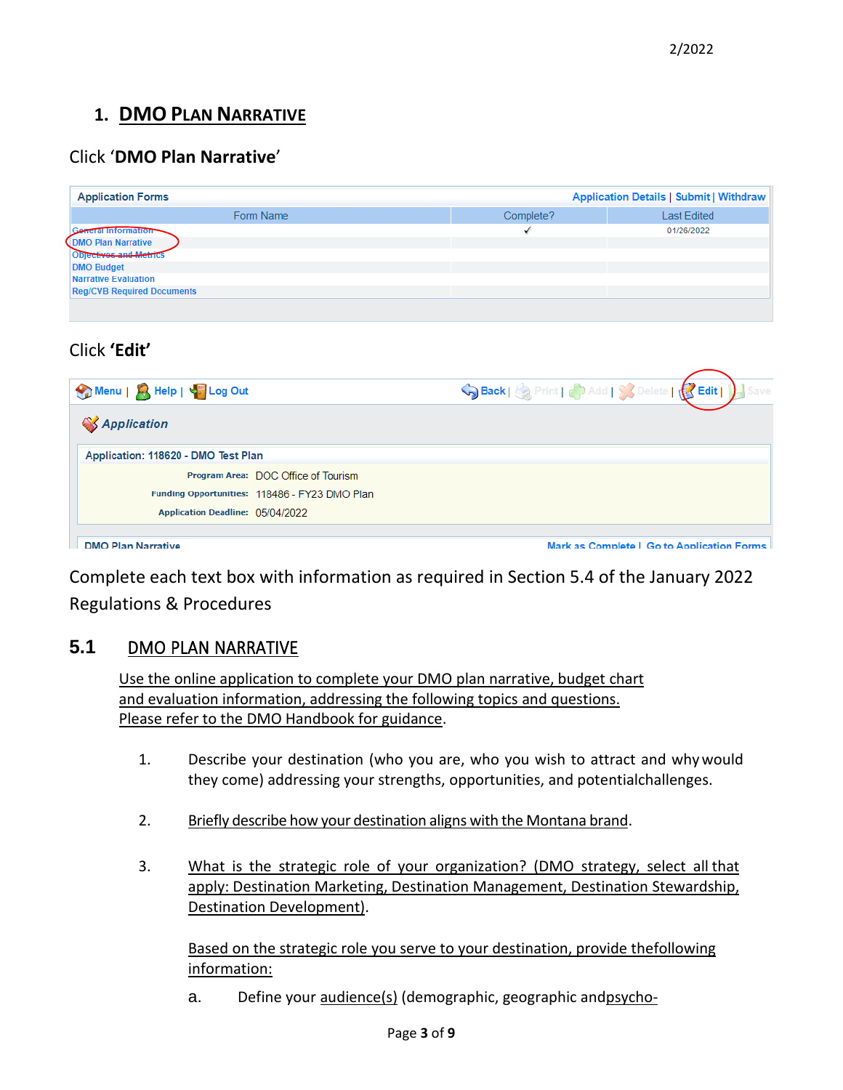# **1. DMO PLAN NARRATIVE**

# Click '**DMO Plan Narrative**'

| <b>Application Forms</b>          |           | <b>Application Details   Submit   Withdraw</b> |
|-----------------------------------|-----------|------------------------------------------------|
| Form Name                         | Complete? | <b>Last Edited</b>                             |
| <b>Reial Information</b>          |           | 01/26/2022                                     |
| <b>DMO Plan Narrative</b>         |           |                                                |
| <b>ODJectives and Metrics</b>     |           |                                                |
| <b>DMO Budget</b>                 |           |                                                |
| Narrative Evaluation              |           |                                                |
| <b>Reg/CVB Required Documents</b> |           |                                                |
|                                   |           |                                                |

# Click **'Edit'**

| Menu   X, Help   V <sub>5</sub> Log Out       | Back   Print   Add   X Delete   Bedit  |
|-----------------------------------------------|----------------------------------------|
| <b>SApplication</b>                           |                                        |
| Application: 118620 - DMO Test Plan           |                                        |
| Program Area: DOC Office of Tourism           |                                        |
| Funding Opportunities: 118486 - FY23 DMO Plan |                                        |
| Application Deadline: 05/04/2022              |                                        |
| DMO DIAM Nappatition                          | Marican Campbell Cath Annisotian Carme |

Complete each text box with information as required in Section 5.4 of the January 2022 Regulations & Procedures

#### **5.1** DMO PLAN NARRATIVE

Use the online application to complete your DMO plan narrative, budget chart and evaluation information, addressing the following topics and questions. Please refer to the DMO Handbook for guidance.

- 1. Describe your destination (who you are, who you wish to attract and whywould they come) addressing your strengths, opportunities, and potentialchallenges.
- 2. Briefly describe how your destination aligns with the Montana brand.
- 3. What is the strategic role of your organization? (DMO strategy, select all that apply: Destination Marketing, Destination Management, Destination Stewardship, Destination Development).

Based on the strategic role you serve to your destination, provide thefollowing information:

a. Define your audience(s) (demographic, geographic andpsycho-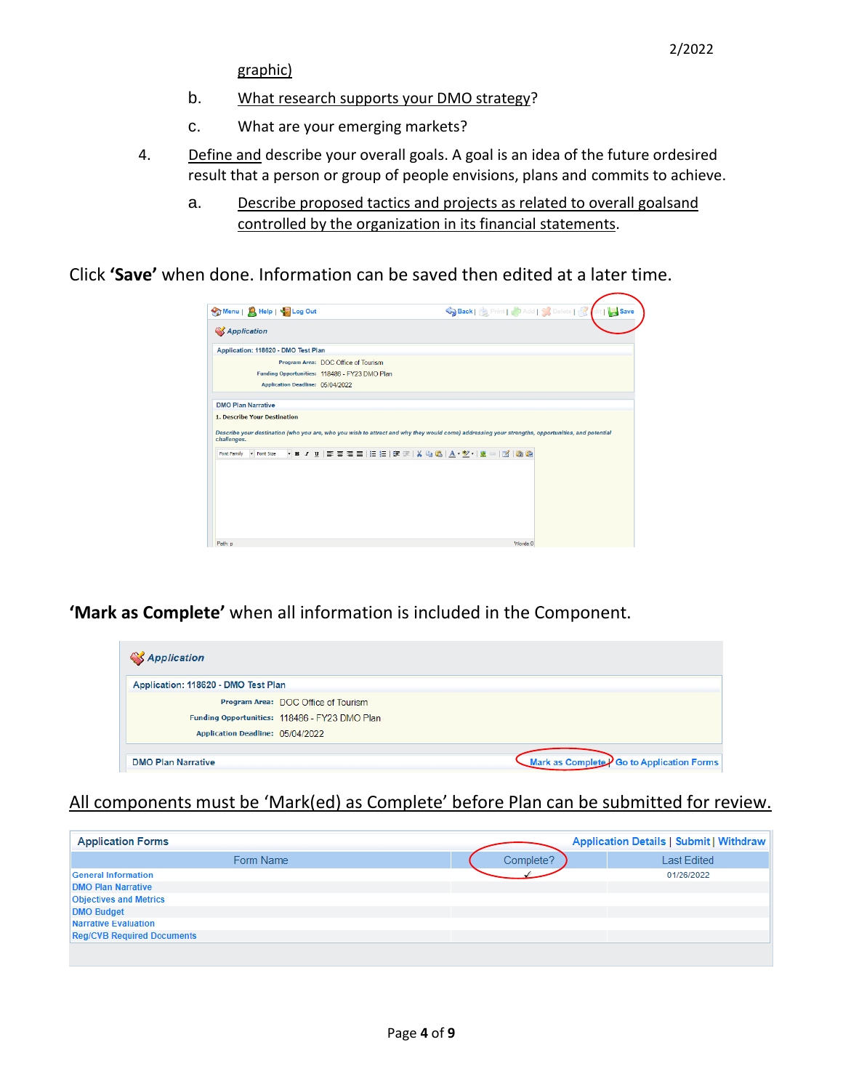graphic)

- b. What research supports your DMO strategy?
- c. What are your emerging markets?
- 4. Define and describe your overall goals. A goal is an idea of the future ordesired result that a person or group of people envisions, plans and commits to achieve.
	- a. Describe proposed tactics and projects as related to overall goalsand controlled by the organization in its financial statements.

Click **'Save'** when done. Information can be saved then edited at a later time.

|                                               | Save Back   & Print   Add   & Delete   & dit   Save                                                                                              |
|-----------------------------------------------|--------------------------------------------------------------------------------------------------------------------------------------------------|
| <b>SApplication</b>                           |                                                                                                                                                  |
| Application: 118620 - DMO Test Plan           |                                                                                                                                                  |
| Program Area: DOC Office of Tourism           |                                                                                                                                                  |
| Funding Opportunities: 118486 - FY23 DMO Plan |                                                                                                                                                  |
| Application Deadline: 05/04/2022              |                                                                                                                                                  |
| <b>DMO Plan Narrative</b>                     |                                                                                                                                                  |
| <b>1. Describe Your Destination</b>           |                                                                                                                                                  |
| challenges.                                   | Describe your destination (who you are, who you wish to attract and why they would come) addressing your strengths, opportunities, and potential |
|                                               |                                                                                                                                                  |
| - Font Size                                   | ・B-Z-U まる君言 汪 扫 律 津 X 43 M3   A1 - 塑 -   58 ∞   121   63 M3                                                                                      |
|                                               |                                                                                                                                                  |
|                                               |                                                                                                                                                  |
|                                               |                                                                                                                                                  |
|                                               |                                                                                                                                                  |
|                                               |                                                                                                                                                  |
| Font Family                                   |                                                                                                                                                  |

**'Mark as Complete'** when all information is included in the Component.

| <b><i>Application</i></b>                     |                                                            |
|-----------------------------------------------|------------------------------------------------------------|
| Application: 118620 - DMO Test Plan           |                                                            |
| Program Area: DOC Office of Tourism           |                                                            |
| Funding Opportunities: 118486 - FY23 DMO Plan |                                                            |
| Application Deadline: 05/04/2022              |                                                            |
|                                               |                                                            |
| <b>DMO Plan Narrative</b>                     | <b>Mark as Complete</b> $\sqrt{ }$ Go to Application Forms |

#### All components must be 'Mark(ed) as Complete' before Plan can be submitted for review.

| <b>Application Forms</b>          |           | <b>Application Details   Submit   Withdraw</b> |
|-----------------------------------|-----------|------------------------------------------------|
| Form Name                         | Complete? | <b>Last Edited</b>                             |
| <b>General Information</b>        |           | 01/26/2022                                     |
| <b>DMO Plan Narrative</b>         |           |                                                |
| <b>Objectives and Metrics</b>     |           |                                                |
| <b>DMO Budget</b>                 |           |                                                |
| Narrative Evaluation              |           |                                                |
| <b>Reg/CVB Required Documents</b> |           |                                                |
|                                   |           |                                                |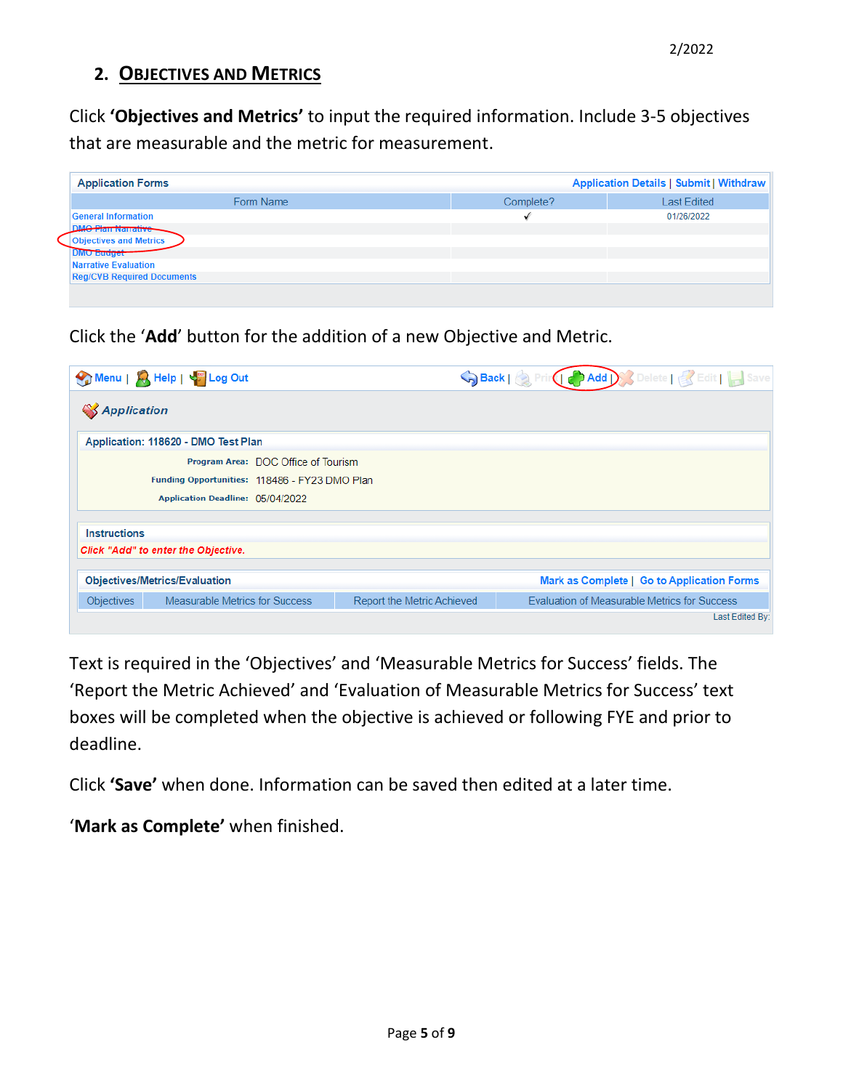# **2. OBJECTIVES AND METRICS**

Click **'Objectives and Metrics'** to input the required information. Include 3-5 objectives that are measurable and the metric for measurement.

| <b>Application Forms</b>          |           | <b>Application Details   Submit   Withdraw</b> |
|-----------------------------------|-----------|------------------------------------------------|
| Form Name                         | Complete? | <b>Last Edited</b>                             |
| <b>General Information</b>        |           | 01/26/2022                                     |
| <b>MO Plan Narrative</b>          |           |                                                |
| <b>Objectives and Metrics</b>     |           |                                                |
| <b>DMO Budget</b>                 |           |                                                |
| Narrative Evaluation              |           |                                                |
| <b>Reg/CVB Required Documents</b> |           |                                                |
|                                   |           |                                                |

Click the '**Add**' button for the addition of a new Objective and Metric.

|                                                                                    | Menu   A Help   45 Log Out          |                            | Save Back   & Principe Add   & Delete   & Edit     Save |  |  |  |
|------------------------------------------------------------------------------------|-------------------------------------|----------------------------|---------------------------------------------------------|--|--|--|
| <b>SApplication</b>                                                                |                                     |                            |                                                         |  |  |  |
| Application: 118620 - DMO Test Plan                                                |                                     |                            |                                                         |  |  |  |
|                                                                                    | Program Area: DOC Office of Tourism |                            |                                                         |  |  |  |
| Funding Opportunities: 118486 - FY23 DMO Plan                                      |                                     |                            |                                                         |  |  |  |
|                                                                                    | Application Deadline: 05/04/2022    |                            |                                                         |  |  |  |
| <b>Instructions</b>                                                                |                                     |                            |                                                         |  |  |  |
| Click "Add" to enter the Objective.                                                |                                     |                            |                                                         |  |  |  |
| <b>Objectives/Metrics/Evaluation</b><br>Mark as Complete   Go to Application Forms |                                     |                            |                                                         |  |  |  |
| <b>Objectives</b>                                                                  | Measurable Metrics for Success      | Report the Metric Achieved | Evaluation of Measurable Metrics for Success            |  |  |  |
|                                                                                    | Last Edited By:                     |                            |                                                         |  |  |  |

Text is required in the 'Objectives' and 'Measurable Metrics for Success' fields. The 'Report the Metric Achieved' and 'Evaluation of Measurable Metrics for Success' text boxes will be completed when the objective is achieved or following FYE and prior to deadline.

Click **'Save'** when done. Information can be saved then edited at a later time.

'**Mark as Complete'** when finished.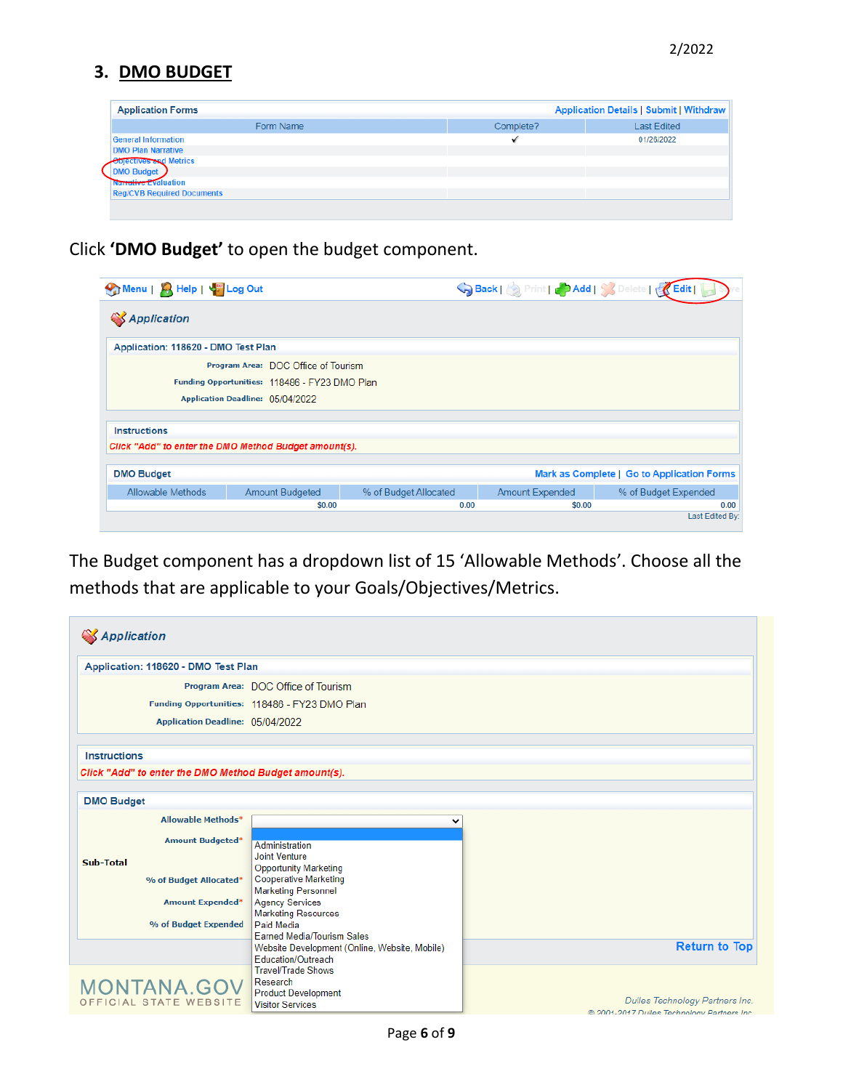### **3. DMO BUDGET**

| <b>Application Forms</b>          |           | Application Details   Submit   Withdraw |
|-----------------------------------|-----------|-----------------------------------------|
| Form Name                         | Complete? | <b>Last Edited</b>                      |
| <b>General Information</b>        |           | 01/26/2022                              |
| <b>DMO Plan Narrative</b>         |           |                                         |
| <b>Objectives and Metrics</b>     |           |                                         |
| <b>DMO Budget</b>                 |           |                                         |
| <b>Narrative Evaluation</b>       |           |                                         |
| <b>Reg/CVB Required Documents</b> |           |                                         |
|                                   |           |                                         |
|                                   |           |                                         |

Click **'DMO Budget'** to open the budget component.

| Menu   A Help   45 Log Out                            |                                               |                       | SBack   Print   Cadd   Societe   KEdit |                                            |  |
|-------------------------------------------------------|-----------------------------------------------|-----------------------|----------------------------------------|--------------------------------------------|--|
| <b>SApplication</b>                                   |                                               |                       |                                        |                                            |  |
| Application: 118620 - DMO Test Plan                   |                                               |                       |                                        |                                            |  |
|                                                       | Program Area: DOC Office of Tourism           |                       |                                        |                                            |  |
|                                                       | Funding Opportunities: 118486 - FY23 DMO Plan |                       |                                        |                                            |  |
|                                                       | Application Deadline: 05/04/2022              |                       |                                        |                                            |  |
| <b>Instructions</b>                                   |                                               |                       |                                        |                                            |  |
| Click "Add" to enter the DMO Method Budget amount(s). |                                               |                       |                                        |                                            |  |
| <b>DMO Budget</b>                                     |                                               |                       |                                        | Mark as Complete   Go to Application Forms |  |
| Allowable Methods                                     | <b>Amount Budgeted</b>                        | % of Budget Allocated | <b>Amount Expended</b>                 | % of Budget Expended                       |  |
|                                                       | \$0.00                                        | 0.00                  | \$0.00                                 | 0.00<br>Last Edited By:                    |  |

The Budget component has a dropdown list of 15 'Allowable Methods'. Choose all the methods that are applicable to your Goals/Objectives/Metrics.

| <b>SApplication</b>                                   |                                                                                    |                                                                                |
|-------------------------------------------------------|------------------------------------------------------------------------------------|--------------------------------------------------------------------------------|
| Application: 118620 - DMO Test Plan                   |                                                                                    |                                                                                |
|                                                       | Program Area: DOC Office of Tourism                                                |                                                                                |
|                                                       | Funding Opportunities: 118486 - FY23 DMO Plan                                      |                                                                                |
| Application Deadline: 05/04/2022                      |                                                                                    |                                                                                |
|                                                       |                                                                                    |                                                                                |
| <b>Instructions</b>                                   |                                                                                    |                                                                                |
| Click "Add" to enter the DMO Method Budget amount(s). |                                                                                    |                                                                                |
| <b>DMO Budget</b>                                     |                                                                                    |                                                                                |
| <b>Allowable Methods*</b>                             | v                                                                                  |                                                                                |
| <b>Amount Budgeted*</b>                               | Administration                                                                     |                                                                                |
| Sub-Total                                             | <b>Joint Venture</b>                                                               |                                                                                |
| % of Budget Allocated*                                | <b>Opportunity Marketing</b><br><b>Cooperative Marketing</b>                       |                                                                                |
|                                                       | <b>Marketing Personnel</b>                                                         |                                                                                |
| <b>Amount Expended*</b>                               | <b>Agency Services</b><br><b>Marketing Resources</b>                               |                                                                                |
| % of Budget Expended                                  | Paid Media                                                                         |                                                                                |
|                                                       | <b>Earned Media/Tourism Sales</b><br>Website Development (Online, Website, Mobile) | <b>Return to Top</b>                                                           |
|                                                       | Education/Outreach                                                                 |                                                                                |
|                                                       | <b>Travel/Trade Shows</b><br>Research                                              |                                                                                |
| <b>MONTANA.GOV</b>                                    | <b>Product Development</b>                                                         |                                                                                |
| OFFICIAL STATE WEBSITE                                | <b>Visitor Services</b>                                                            | Dulles Technology Partners Inc.<br>@ 2001-2017 Dulles Technology Partners Inc. |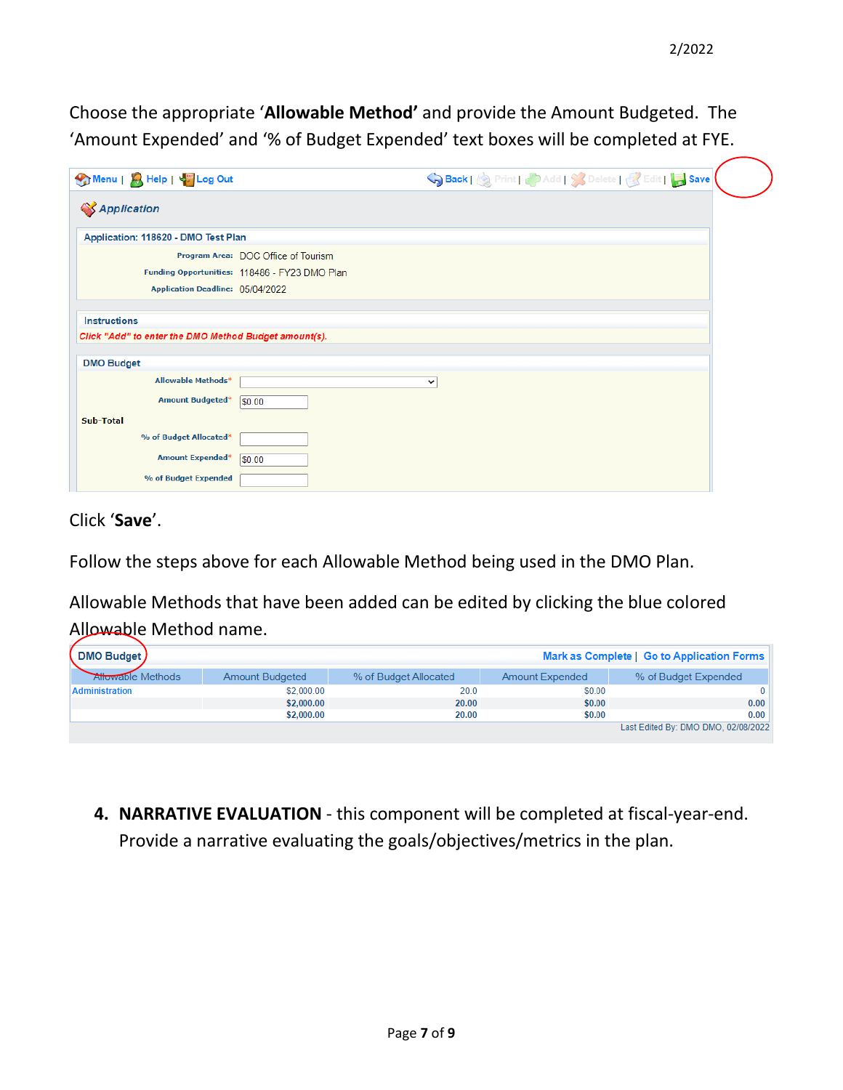Choose the appropriate '**Allowable Method'** and provide the Amount Budgeted. The 'Amount Expended' and '% of Budget Expended' text boxes will be completed at FYE.

| Menu   A Help   V Log Out                                                  | Save Back   & Print   & Add   & Delete   & Edit   Bave |
|----------------------------------------------------------------------------|--------------------------------------------------------|
| <b>SApplication</b>                                                        |                                                        |
| Application: 118620 - DMO Test Plan                                        |                                                        |
|                                                                            | Program Area: DOC Office of Tourism                    |
| Funding Opportunities: 118486 - FY23 DMO Plan                              |                                                        |
| Application Deadline: 05/04/2022                                           |                                                        |
| Click "Add" to enter the DMO Method Budget amount(s).<br><b>DMO Budget</b> |                                                        |
| <b>Allowable Methods*</b>                                                  | v                                                      |
| <b>Amount Budgeted*</b><br> \$0.00                                         |                                                        |
| Sub-Total                                                                  |                                                        |
| % of Budget Allocated*                                                     |                                                        |
| <b>Amount Expended*</b>                                                    |                                                        |
| \$0.00                                                                     |                                                        |

Click '**Save**'.

Follow the steps above for each Allowable Method being used in the DMO Plan.

Allowable Methods that have been added can be edited by clicking the blue colored Allowable Method name.

| DMO Budget)<br>Mark as Complete   Go to Application Forms |                        |                       |                        |                                     |
|-----------------------------------------------------------|------------------------|-----------------------|------------------------|-------------------------------------|
| <b>Allowable Methods</b>                                  | <b>Amount Budgeted</b> | % of Budget Allocated | <b>Amount Expended</b> | % of Budget Expended                |
| <b>Administration</b>                                     | \$2,000.00             | 20.0                  | \$0.00                 |                                     |
|                                                           | \$2,000.00             | 20.00                 | \$0.00                 | 0.00                                |
|                                                           | \$2,000.00             | 20.00                 | \$0.00                 | 0.00                                |
|                                                           |                        |                       |                        | Last Edited By: DMO DMO, 02/08/2022 |

**4. NARRATIVE EVALUATION** - this component will be completed at fiscal-year-end. Provide a narrative evaluating the goals/objectives/metrics in the plan.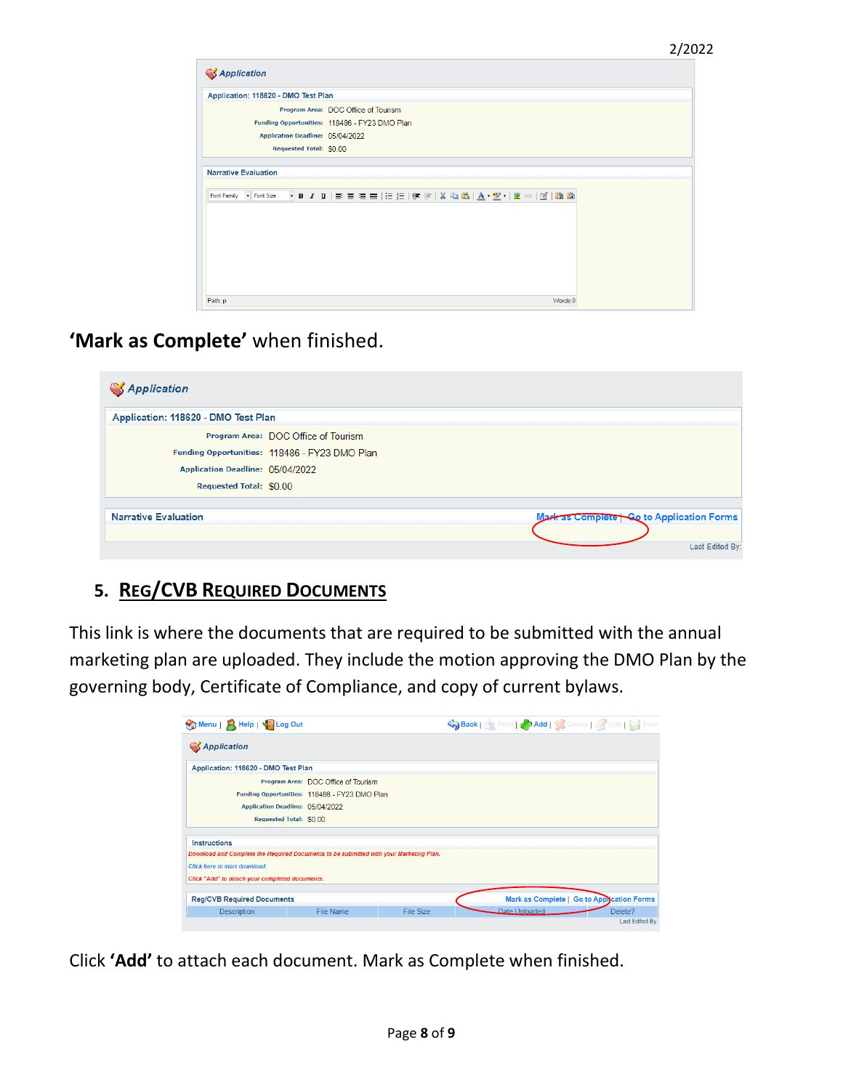| <b>SApplication</b>                 |                                                                   |  |
|-------------------------------------|-------------------------------------------------------------------|--|
| Application: 118620 - DMO Test Plan |                                                                   |  |
|                                     | Program Area: DOC Office of Tourism                               |  |
|                                     | Funding Opportunities: 118486 - FY23 DMO Plan                     |  |
| Application Deadline: 05/04/2022    |                                                                   |  |
| Requested Total: \$0.00             |                                                                   |  |
| <b>Narrative Evaluation</b>         |                                                                   |  |
| Font Family<br>Font Size            | - B / U   E = =   E   E   伊 津   X �� 8   A + ツ +   ※ ∞   ⊠   6 �� |  |
|                                     |                                                                   |  |
|                                     |                                                                   |  |
|                                     |                                                                   |  |
|                                     |                                                                   |  |
| Path: p                             | Words:0                                                           |  |

**'Mark as Complete'** when finished.

| Application: 118620 - DMO Test Plan           |                                          |
|-----------------------------------------------|------------------------------------------|
| Program Area: DOC Office of Tourism           |                                          |
| Funding Opportunities: 118486 - FY23 DMO Plan |                                          |
| Application Deadline: 05/04/2022              |                                          |
| Requested Total: \$0.00                       |                                          |
| <b>Narrative Evaluation</b>                   | Mark as Complete Go to Application Forms |

# **5. REG/CVB REQUIRED DOCUMENTS**

This link is where the documents that are required to be submitted with the annual marketing plan are uploaded. They include the motion approving the DMO Plan by the governing body, Certificate of Compliance, and copy of current bylaws.

| Menu   A Help   V Log Out                       |                                                                                        |           | Save Back   & Print   B Add   & Delete   & Edit   B Save |  |
|-------------------------------------------------|----------------------------------------------------------------------------------------|-----------|----------------------------------------------------------|--|
| <b>SApplication</b>                             |                                                                                        |           |                                                          |  |
| Application: 118620 - DMO Test Plan             |                                                                                        |           |                                                          |  |
|                                                 | Program Area: DOC Office of Tourism                                                    |           |                                                          |  |
| Funding Opportunities: 118486 - FY23 DMO Plan   |                                                                                        |           |                                                          |  |
| Application Deadline: 05/04/2022                |                                                                                        |           |                                                          |  |
|                                                 | Requested Total: \$0.00                                                                |           |                                                          |  |
| <b>Instructions</b>                             |                                                                                        |           |                                                          |  |
|                                                 | Download and Complete the Required Documents to be submitted with your Marketing Plan. |           |                                                          |  |
| <b>Click here to start download.</b>            |                                                                                        |           |                                                          |  |
| Click "Add" to attach your completed documents. |                                                                                        |           |                                                          |  |
| <b>Reg/CVB Required Documents</b>               |                                                                                        |           | Mark as Complete   Go to Application Forms               |  |
| <b>Description</b>                              | File Name                                                                              | File Size | Date Uploaded<br>Delete?                                 |  |
|                                                 |                                                                                        |           | Last Edited By:                                          |  |

Click **'Add'** to attach each document. Mark as Complete when finished.